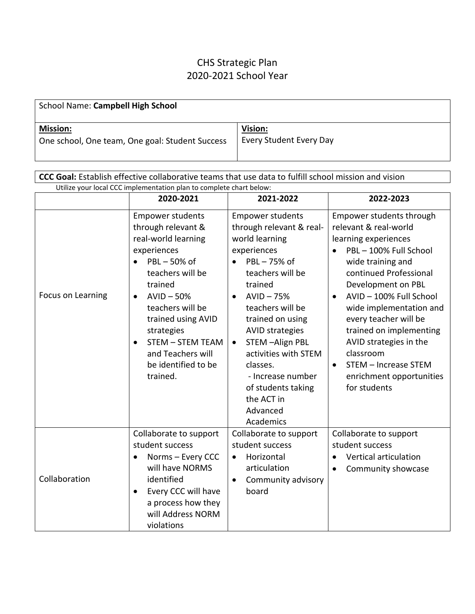## CHS Strategic Plan 2020-2021 School Year

| School Name: Campbell High School               |                         |
|-------------------------------------------------|-------------------------|
| <b>Mission:</b>                                 | Vision:                 |
| One school, One team, One goal: Student Success | Every Student Every Day |

| CCC Goal: Establish effective collaborative teams that use data to fulfill school mission and vision |                                                                                                                                                                                                                                                                                                                       |                                                                                                                                                                                                                                                                                                                                                                          |                                                                                                                                                                                                                                                                                                                                                                                                                     |  |  |
|------------------------------------------------------------------------------------------------------|-----------------------------------------------------------------------------------------------------------------------------------------------------------------------------------------------------------------------------------------------------------------------------------------------------------------------|--------------------------------------------------------------------------------------------------------------------------------------------------------------------------------------------------------------------------------------------------------------------------------------------------------------------------------------------------------------------------|---------------------------------------------------------------------------------------------------------------------------------------------------------------------------------------------------------------------------------------------------------------------------------------------------------------------------------------------------------------------------------------------------------------------|--|--|
| Utilize your local CCC implementation plan to complete chart below:                                  |                                                                                                                                                                                                                                                                                                                       |                                                                                                                                                                                                                                                                                                                                                                          |                                                                                                                                                                                                                                                                                                                                                                                                                     |  |  |
|                                                                                                      | 2020-2021                                                                                                                                                                                                                                                                                                             | 2021-2022                                                                                                                                                                                                                                                                                                                                                                | 2022-2023                                                                                                                                                                                                                                                                                                                                                                                                           |  |  |
| Focus on Learning                                                                                    | <b>Empower students</b><br>through relevant &<br>real-world learning<br>experiences<br>PBL-50% of<br>teachers will be<br>trained<br>$AVID - 50%$<br>$\bullet$<br>teachers will be<br>trained using AVID<br>strategies<br><b>STEM - STEM TEAM</b><br>$\bullet$<br>and Teachers will<br>be identified to be<br>trained. | <b>Empower students</b><br>through relevant & real-<br>world learning<br>experiences<br>PBL-75% of<br>teachers will be<br>trained<br>$AVID - 75%$<br>teachers will be<br>trained on using<br><b>AVID strategies</b><br>STEM-Align PBL<br>$\bullet$<br>activities with STEM<br>classes.<br>- Increase number<br>of students taking<br>the ACT in<br>Advanced<br>Academics | Empower students through<br>relevant & real-world<br>learning experiences<br>PBL-100% Full School<br>$\bullet$<br>wide training and<br>continued Professional<br>Development on PBL<br>AVID-100% Full School<br>wide implementation and<br>every teacher will be<br>trained on implementing<br>AVID strategies in the<br>classroom<br>STEM - Increase STEM<br>$\bullet$<br>enrichment opportunities<br>for students |  |  |
| Collaboration                                                                                        | Collaborate to support<br>student success<br>Norms - Every CCC<br>will have NORMS<br>identified<br>Every CCC will have<br>$\bullet$<br>a process how they<br>will Address NORM<br>violations                                                                                                                          | Collaborate to support<br>student success<br>Horizontal<br>$\bullet$<br>articulation<br>Community advisory<br>$\bullet$<br>board                                                                                                                                                                                                                                         | Collaborate to support<br>student success<br>Vertical articulation<br>Community showcase<br>$\bullet$                                                                                                                                                                                                                                                                                                               |  |  |